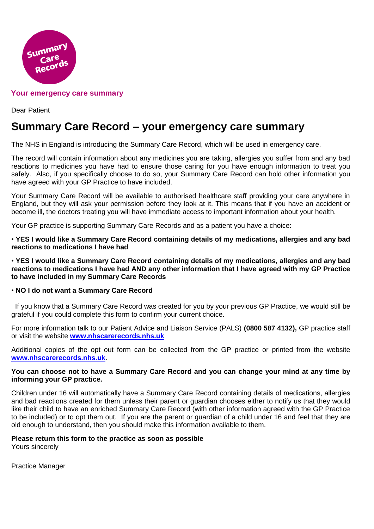

### **Your emergency care summary**

Dear Patient

# **Summary Care Record – your emergency care summary**

The NHS in England is introducing the Summary Care Record, which will be used in emergency care.

The record will contain information about any medicines you are taking, allergies you suffer from and any bad reactions to medicines you have had to ensure those caring for you have enough information to treat you safely. Also, if you specifically choose to do so, your Summary Care Record can hold other information you have agreed with your GP Practice to have included.

Your Summary Care Record will be available to authorised healthcare staff providing your care anywhere in England, but they will ask your permission before they look at it. This means that if you have an accident or become ill, the doctors treating you will have immediate access to important information about your health.

Your GP practice is supporting Summary Care Records and as a patient you have a choice:

• **YES I would like a Summary Care Record containing details of my medications, allergies and any bad reactions to medications I have had**

• **YES I would like a Summary Care Record containing details of my medications, allergies and any bad reactions to medications I have had AND any other information that I have agreed with my GP Practice to have included in my Summary Care Records**

#### • **NO I do not want a Summary Care Record**

 If you know that a Summary Care Record was created for you by your previous GP Practice, we would still be grateful if you could complete this form to confirm your current choice.

For more information talk to our Patient Advice and Liaison Service (PALS) **(0800 587 4132),** GP practice staff or visit the website **[www.nhscarerecords.nhs.uk](http://www.nhscarerecords.nhs.uk/)**

Additional copies of the opt out form can be collected from the GP practice or printed from the website **[www.nhscarerecords.nhs.uk](http://www.nhscarerecords.nhs.uk/)**.

#### **You can choose not to have a Summary Care Record and you can change your mind at any time by informing your GP practice.**

Children under 16 will automatically have a Summary Care Record containing details of medications, allergies and bad reactions created for them unless their parent or guardian chooses either to notify us that they would like their child to have an enriched Summary Care Record (with other information agreed with the GP Practice to be included) or to opt them out. If you are the parent or guardian of a child under 16 and feel that they are old enough to understand, then you should make this information available to them.

#### **Please return this form to the practice as soon as possible**

Yours sincerely

Practice Manager